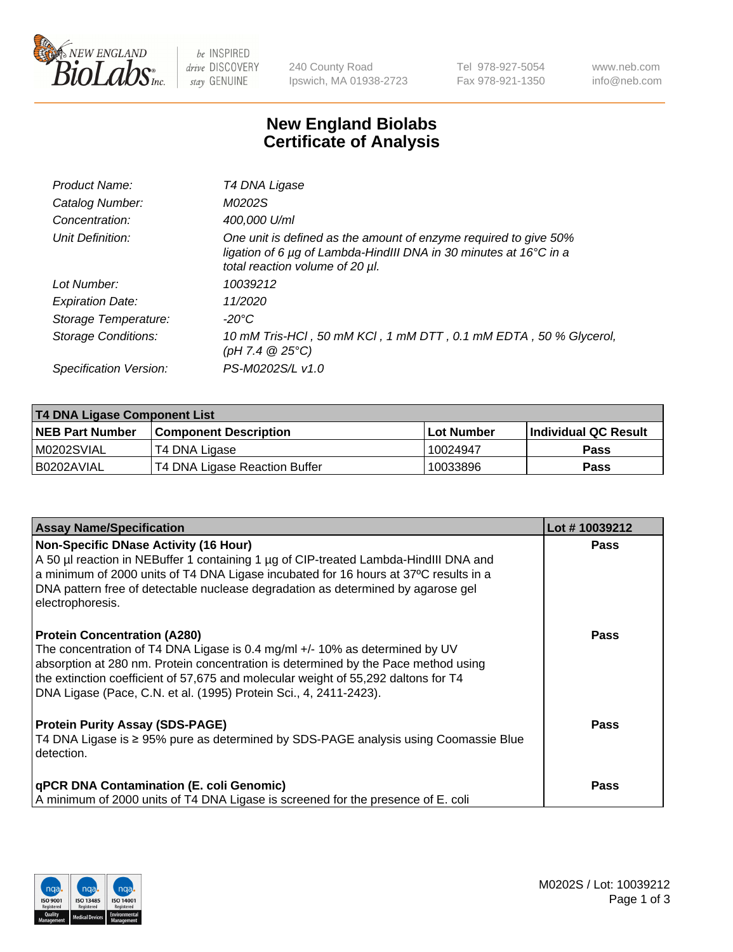

 $be$  INSPIRED drive DISCOVERY stay GENUINE

240 County Road Ipswich, MA 01938-2723 Tel 978-927-5054 Fax 978-921-1350 www.neb.com info@neb.com

## **New England Biolabs Certificate of Analysis**

| Product Name:              | T4 DNA Ligase                                                                                                                                                            |
|----------------------------|--------------------------------------------------------------------------------------------------------------------------------------------------------------------------|
| Catalog Number:            | M0202S                                                                                                                                                                   |
| Concentration:             | 400,000 U/ml                                                                                                                                                             |
| Unit Definition:           | One unit is defined as the amount of enzyme required to give 50%<br>ligation of 6 µg of Lambda-HindIII DNA in 30 minutes at 16°C in a<br>total reaction volume of 20 µl. |
| Lot Number:                | 10039212                                                                                                                                                                 |
| <b>Expiration Date:</b>    | 11/2020                                                                                                                                                                  |
| Storage Temperature:       | -20°C                                                                                                                                                                    |
| <b>Storage Conditions:</b> | 10 mM Tris-HCl, 50 mM KCl, 1 mM DTT, 0.1 mM EDTA, 50 % Glycerol,<br>(pH 7.4 $@25°C$ )                                                                                    |
| Specification Version:     | PS-M0202S/L v1.0                                                                                                                                                         |

| <b>T4 DNA Ligase Component List</b> |                               |            |                             |  |  |
|-------------------------------------|-------------------------------|------------|-----------------------------|--|--|
| <b>NEB Part Number</b>              | <b>Component Description</b>  | Lot Number | <b>Individual QC Result</b> |  |  |
| M0202SVIAL                          | T4 DNA Ligase                 | 10024947   | <b>Pass</b>                 |  |  |
| B0202AVIAL                          | T4 DNA Ligase Reaction Buffer | 10033896   | <b>Pass</b>                 |  |  |

| <b>Assay Name/Specification</b>                                                                                                                                                                                                                                                                                                                                     | Lot #10039212 |
|---------------------------------------------------------------------------------------------------------------------------------------------------------------------------------------------------------------------------------------------------------------------------------------------------------------------------------------------------------------------|---------------|
| Non-Specific DNase Activity (16 Hour)<br>A 50 µl reaction in NEBuffer 1 containing 1 µg of CIP-treated Lambda-HindIII DNA and<br>$\vert$ a minimum of 2000 units of T4 DNA Ligase incubated for 16 hours at 37°C results in a<br>DNA pattern free of detectable nuclease degradation as determined by agarose gel<br>electrophoresis.                               | <b>Pass</b>   |
| <b>Protein Concentration (A280)</b><br>The concentration of T4 DNA Ligase is 0.4 mg/ml +/- 10% as determined by UV<br>absorption at 280 nm. Protein concentration is determined by the Pace method using<br>the extinction coefficient of 57,675 and molecular weight of 55,292 daltons for T4<br>DNA Ligase (Pace, C.N. et al. (1995) Protein Sci., 4, 2411-2423). | Pass          |
| <b>Protein Purity Assay (SDS-PAGE)</b><br>T4 DNA Ligase is ≥ 95% pure as determined by SDS-PAGE analysis using Coomassie Blue<br>detection.                                                                                                                                                                                                                         | <b>Pass</b>   |
| <b>qPCR DNA Contamination (E. coli Genomic)</b><br>A minimum of 2000 units of T4 DNA Ligase is screened for the presence of E. coli                                                                                                                                                                                                                                 | <b>Pass</b>   |

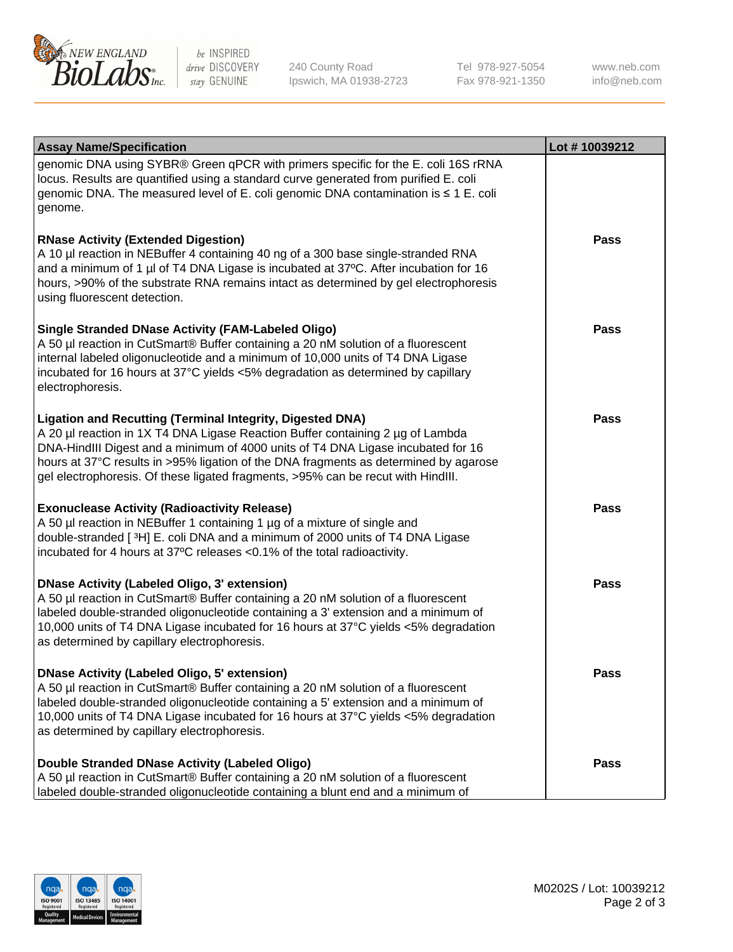

be INSPIRED drive DISCOVERY stay GENUINE

240 County Road Ipswich, MA 01938-2723 Tel 978-927-5054 Fax 978-921-1350

www.neb.com info@neb.com

| <b>Assay Name/Specification</b>                                                                                                                                                                                                                                                                                                                                                                             | Lot #10039212 |
|-------------------------------------------------------------------------------------------------------------------------------------------------------------------------------------------------------------------------------------------------------------------------------------------------------------------------------------------------------------------------------------------------------------|---------------|
| genomic DNA using SYBR® Green qPCR with primers specific for the E. coli 16S rRNA<br>locus. Results are quantified using a standard curve generated from purified E. coli<br>genomic DNA. The measured level of E. coli genomic DNA contamination is ≤ 1 E. coli<br>genome.                                                                                                                                 |               |
| <b>RNase Activity (Extended Digestion)</b><br>A 10 µl reaction in NEBuffer 4 containing 40 ng of a 300 base single-stranded RNA<br>and a minimum of 1 µl of T4 DNA Ligase is incubated at 37°C. After incubation for 16<br>hours, >90% of the substrate RNA remains intact as determined by gel electrophoresis<br>using fluorescent detection.                                                             | <b>Pass</b>   |
| <b>Single Stranded DNase Activity (FAM-Labeled Oligo)</b><br>A 50 µl reaction in CutSmart® Buffer containing a 20 nM solution of a fluorescent<br>internal labeled oligonucleotide and a minimum of 10,000 units of T4 DNA Ligase<br>incubated for 16 hours at 37°C yields <5% degradation as determined by capillary<br>electrophoresis.                                                                   | <b>Pass</b>   |
| Ligation and Recutting (Terminal Integrity, Digested DNA)<br>A 20 µl reaction in 1X T4 DNA Ligase Reaction Buffer containing 2 µg of Lambda<br>DNA-HindIII Digest and a minimum of 4000 units of T4 DNA Ligase incubated for 16<br>hours at 37°C results in >95% ligation of the DNA fragments as determined by agarose<br>gel electrophoresis. Of these ligated fragments, >95% can be recut with HindIII. | <b>Pass</b>   |
| <b>Exonuclease Activity (Radioactivity Release)</b><br>A 50 µl reaction in NEBuffer 1 containing 1 µg of a mixture of single and<br>double-stranded [3H] E. coli DNA and a minimum of 2000 units of T4 DNA Ligase<br>incubated for 4 hours at 37°C releases <0.1% of the total radioactivity.                                                                                                               | <b>Pass</b>   |
| <b>DNase Activity (Labeled Oligo, 3' extension)</b><br>A 50 µl reaction in CutSmart® Buffer containing a 20 nM solution of a fluorescent<br>labeled double-stranded oligonucleotide containing a 3' extension and a minimum of<br>10,000 units of T4 DNA Ligase incubated for 16 hours at 37°C yields <5% degradation<br>as determined by capillary electrophoresis.                                        | <b>Pass</b>   |
| <b>DNase Activity (Labeled Oligo, 5' extension)</b><br>A 50 µl reaction in CutSmart® Buffer containing a 20 nM solution of a fluorescent<br>labeled double-stranded oligonucleotide containing a 5' extension and a minimum of<br>10,000 units of T4 DNA Ligase incubated for 16 hours at 37°C yields <5% degradation<br>as determined by capillary electrophoresis.                                        | Pass          |
| Double Stranded DNase Activity (Labeled Oligo)<br>A 50 µl reaction in CutSmart® Buffer containing a 20 nM solution of a fluorescent<br>labeled double-stranded oligonucleotide containing a blunt end and a minimum of                                                                                                                                                                                      | <b>Pass</b>   |